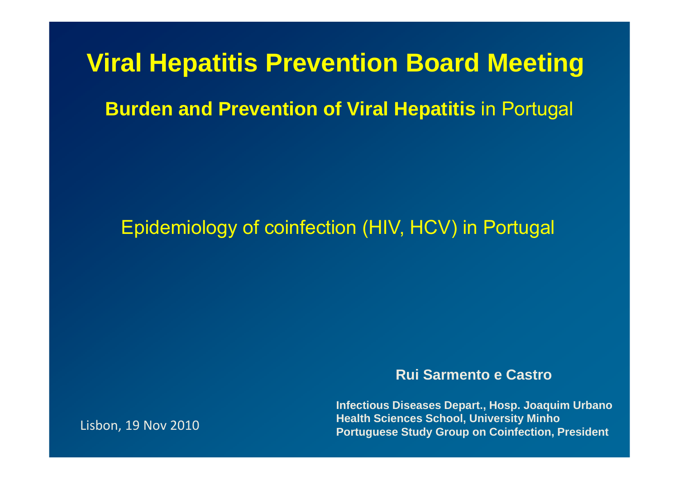# **Viral Hepatitis Prevention Board Meeting**

#### **Burden and Prevention of Viral Hepatitis in Portugal**

#### Epidemiology of coinfection (HIV, HCV) in Portugal

**Rui Sarmento e Castro**

**Infectious Diseases Depart., Hosp. Joaquim Urbano Health Sciences School, University Minho Portuguese Study Group on Coinfection, President** Lisbon, <sup>19</sup> Nov <sup>2010</sup>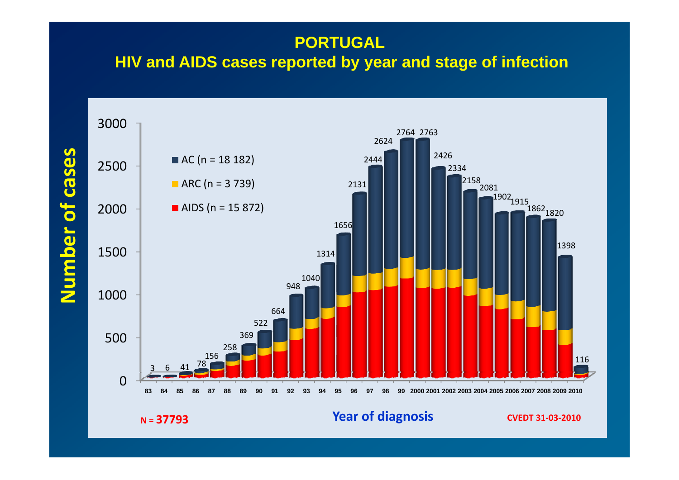#### **PORTUGAL**

#### **HIV and AIDS cases reported by year and stage of infection**



 $N = 37793$ 

#### **CVEDT <sup>31</sup>‐03‐<sup>2010</sup> <sup>=</sup> 37793 Year of diagnosis**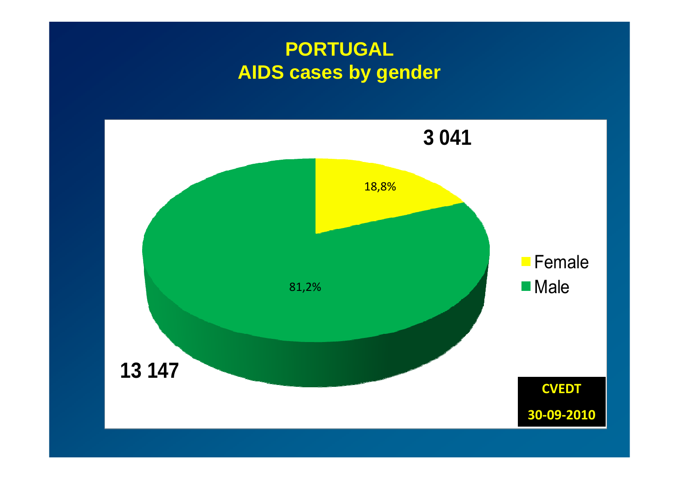## **PORTUGAL AIDS cases by gender**

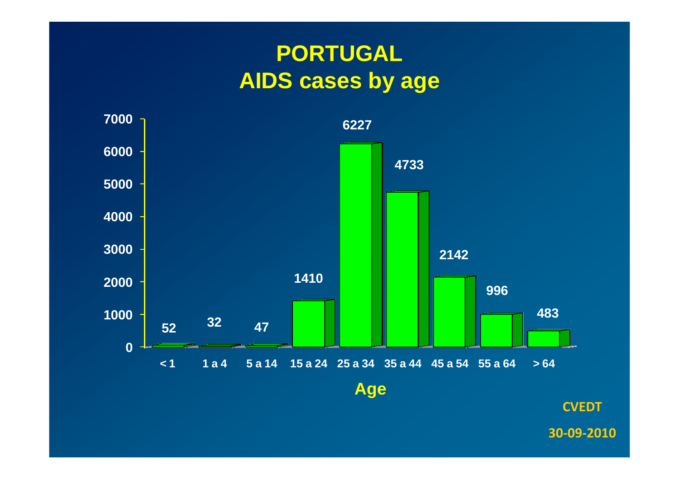# **PORTUGAL AIDS cases by age**



**CVEDT**

**‐09‐2010**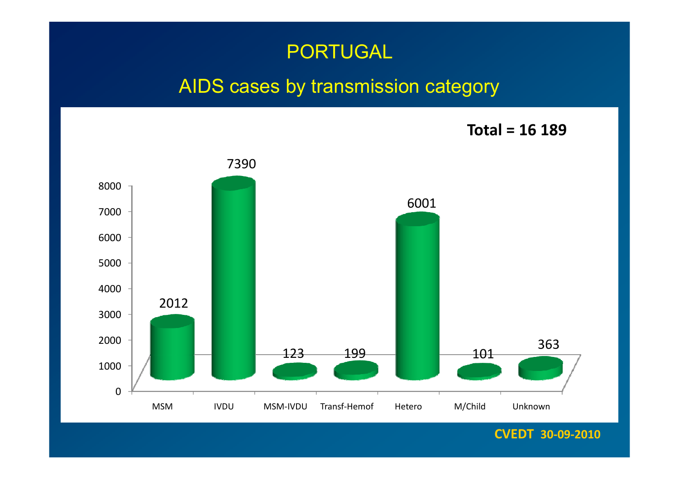#### PORTUGAL

#### AIDS cases by transmission category

**Total <sup>=</sup> 16 189**



**CVEDT 30‐09‐2010**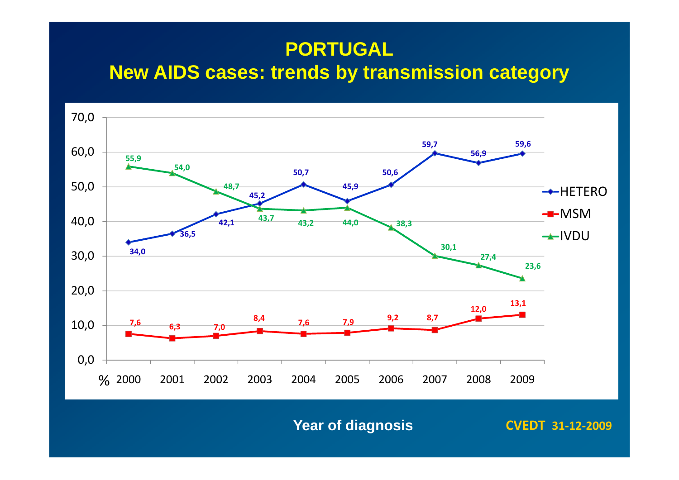#### **PORTUGAL**

**New AIDS cases: trends by transmission category**



**Year of diagnosis CVEDT <sup>31</sup>‐12‐<sup>2009</sup>**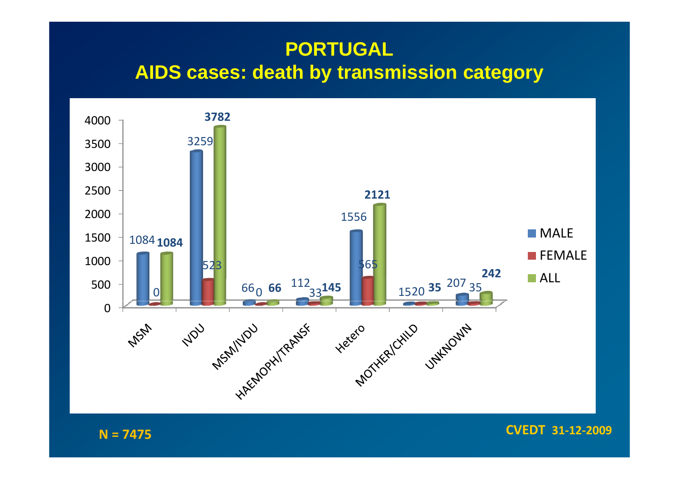#### **PORTUGAL AIDS cases: death by transmission category**



 $N = 7475$ 

**CVEDT <sup>31</sup>‐12‐<sup>2009</sup> <sup>=</sup> <sup>7475</sup>**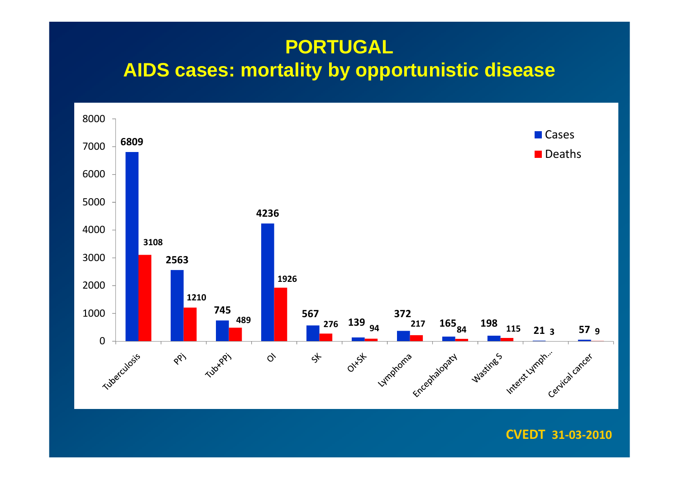## **PORTUGAL AIDS cases: mortality by opportunistic disease**



#### **CVEDT 31‐03‐2010**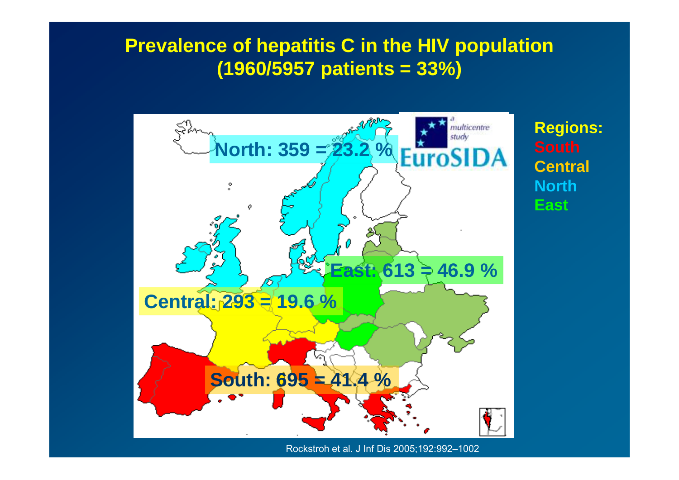#### **Prevalence of hepatitis C in the HIV population (1960/5957 patients = 33%)**



Rockstroh et al. J Inf Dis 2005;192:992–1002

**Regions: Central North East**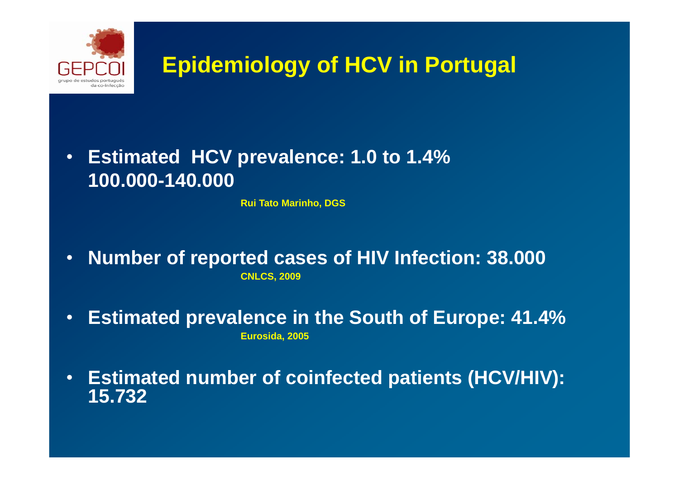

# **Epidemiology of HCV in Portugal**

#### • **Estimated HCV prevalence: 1.0 to 1.4% 100.000-140.000**

**Rui Tato Marinho, DGS**

- • **Number of reported cases of HIV Infection: 38.000 CNLCS, 2009**
- $\bullet$  **Estimated prevalence in the South of Europe: 41.4% Eurosida, 2005**
- $\bullet$ **Estimated number of coinfected patients (HCV/HIV): 15.732**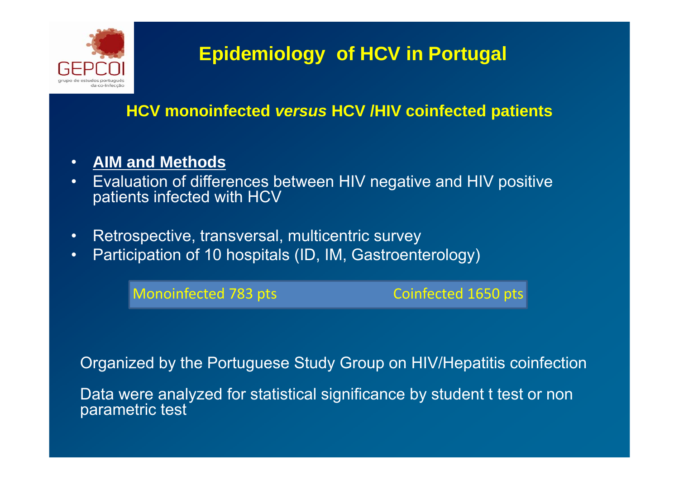

# **Epidemiology of HCV in Portugal**

#### **HCV monoinfected** *versus* **HCV /HIV coinfected patients**

#### •**AIM and Methods**

- • Evaluation of differences between HIV negative and HIV positive patients infected with HCV
- $\bullet$ Retrospective, transversal, multicentric survey
- $\bullet$ Participation of 10 hospitals (ID, IM, Gastroenterology)

Monoinfected 783

Coinfected 1650 pts

Organized by the Portuguese Study Group on HIV/Hepatitis coinfection

Data were analyzed for statistical significance by student t test or non parametric test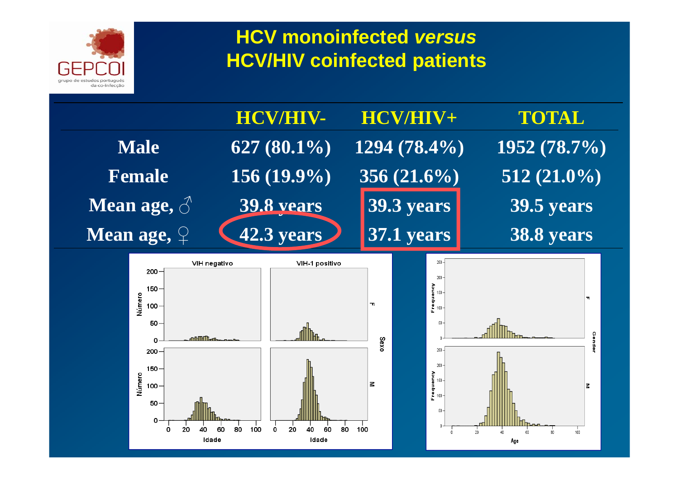

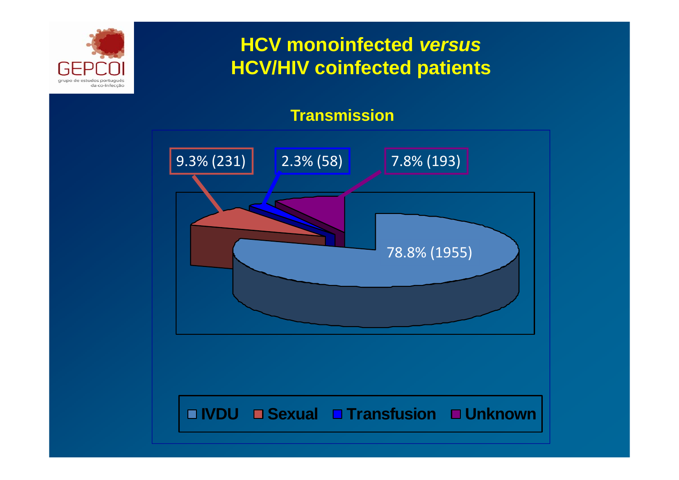

#### **Transmission**

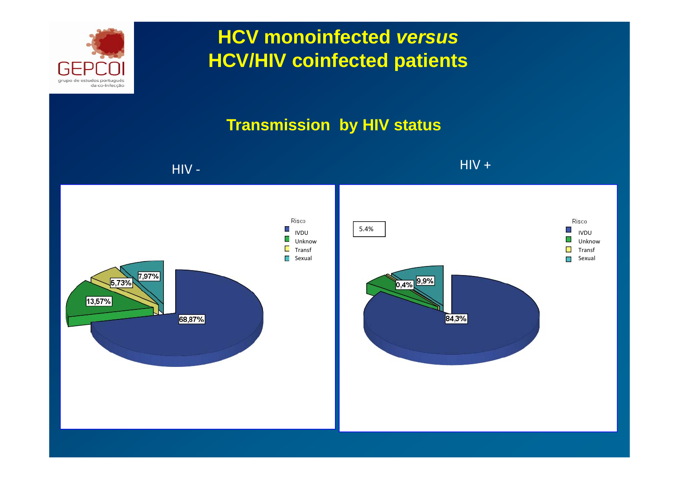

#### **Transmission by HIV status**

#### HIV ‐

 $\overline{\phantom{a}}$  . HIV and the contract of the contract of the contract of the contract of the contract of the contract of the contract of the contract of the contract of the contract of the contract of the contract of the con +

> IVDUUnknowTransfSexual

Risco.

π

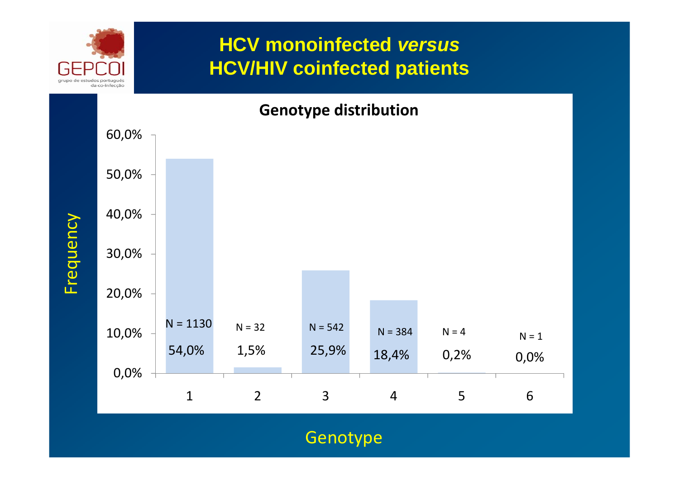

Frequency

Frequency

## **HCV monoinfected** *versus* **HCV/HIV coinfected patients**

#### **Genotype distribution**



**Genotype**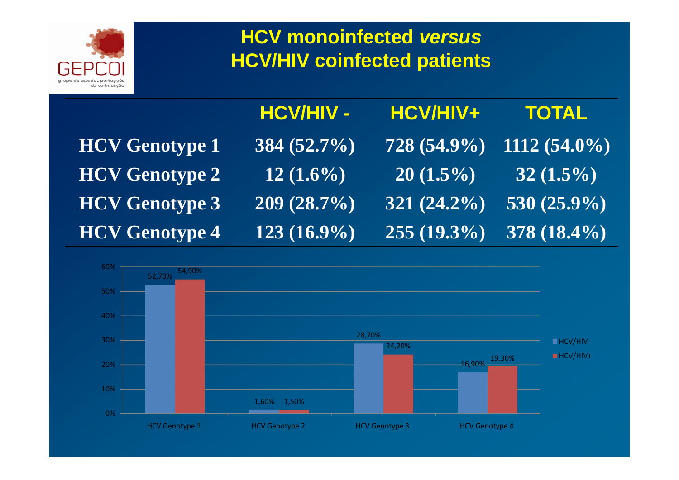

|                       | <b>HCV/HIV -</b> | HCV/HIV+       | <b>TOTAL</b>                                       |
|-----------------------|------------------|----------------|----------------------------------------------------|
| <b>HCV Genotype 1</b> | 384 $(52.7\%)$   |                | $\overline{128}$ (54.9%) $\overline{1112}$ (54.0%) |
| <b>HCV Genotype 2</b> | $12(1.6\%)$      | $20(1.5\%)$    | $32(1.5\%)$                                        |
| <b>HCV Genotype 3</b> | 209(28.7%)       | $321 (24.2\%)$ | 530 $(25.9\%)$                                     |
| <b>HCV Genotype 4</b> | $123(16.9\%)$    | $255(19.3\%)$  | $378(18.4\%)$                                      |

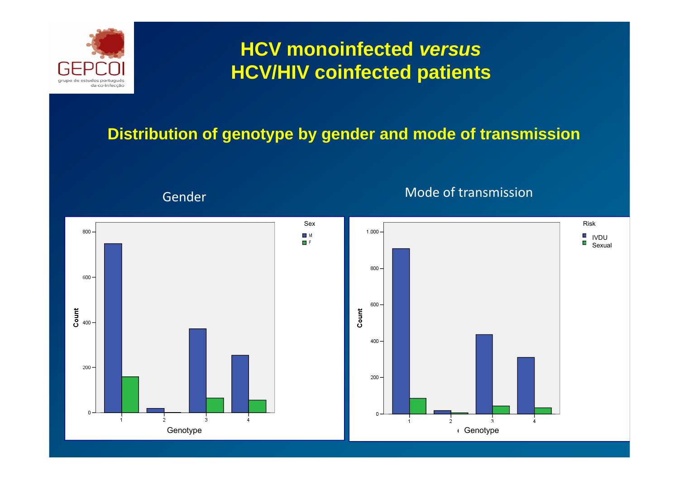

#### **Distribution of genotype by gender and mode of transmission**

Gender

#### Mode of transmission

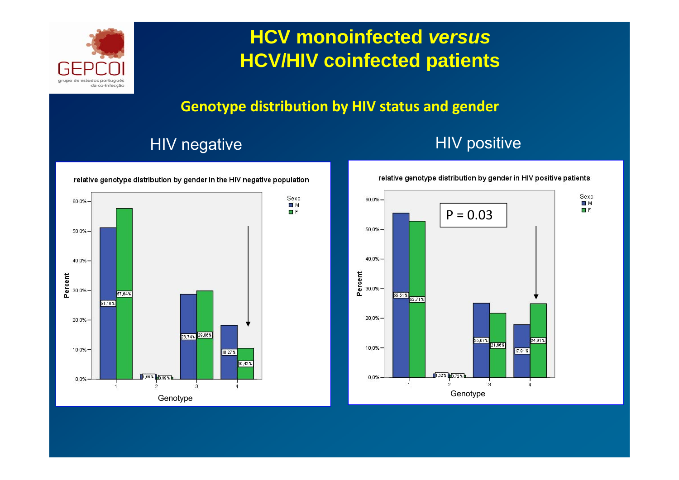

#### **Genotype distribution by HIV status and gender**

#### HIV negative **HIV** positive

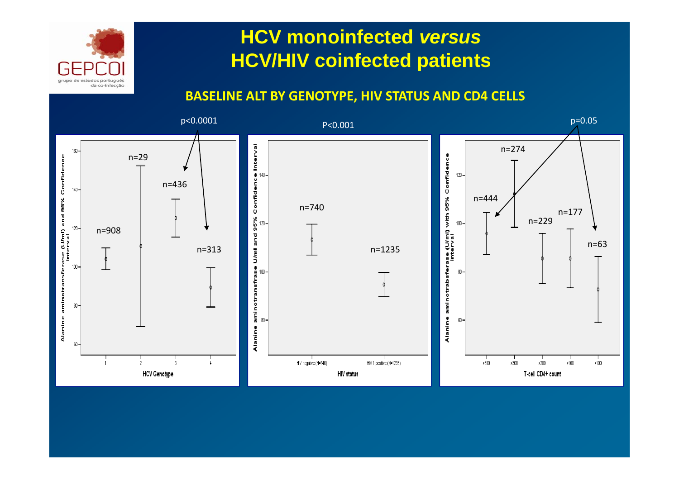

#### **BASELINE ALT BY GENOTYPE, HIV STATUS AND CD4 CELLS**

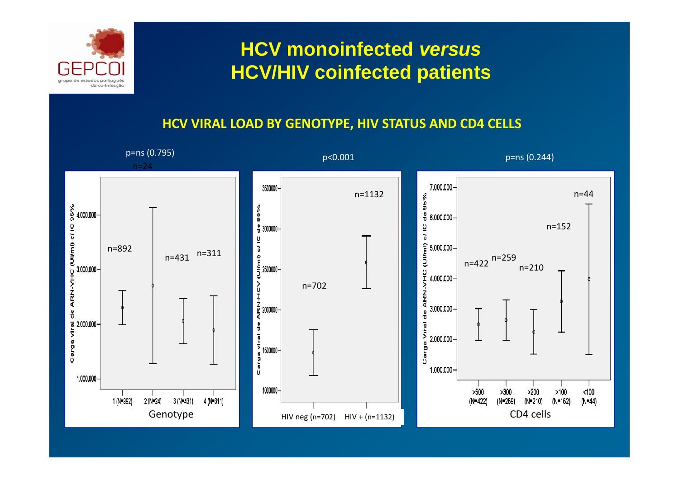



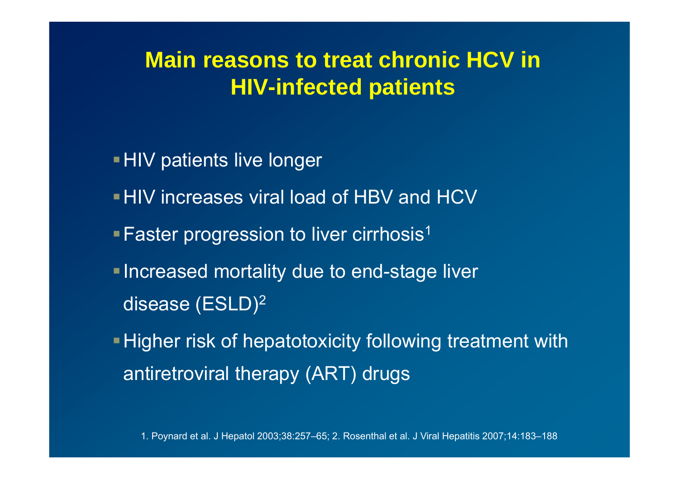# **Main reasons to treat chronic HCV in HIV-infected patients**

- **HIV patients live longer**
- HIV increases viral load of HBV and HCV
- **Faster progression to liver cirrhosis**<sup>1</sup>
- **Increased mortality due to end-stage liver** disease (ESLD) 2
- **Higher risk of hepatotoxicity following treatment with** antiretroviral therapy (ART) drugs

1. Poynard et al. J Hepatol 2003;38:257–65; 2. Rosenthal et al. J Viral Hepatitis 2007;14:183–188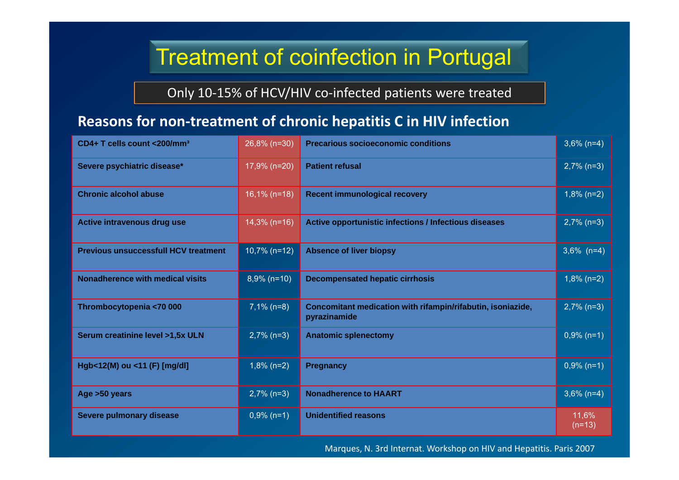# Treatment of coinfection in Portugal

Only 10‐15% of HCV/HIV co‐infected patients were treated

#### **Reasons for non‐treatment of chronic hepatitis C in HIV infection**

| CD4+ T cells count <200/mm <sup>3</sup>     | 26,8% (n=30)    | <b>Precarious socioeconomic conditions</b>                                  | $3,6\%$ (n=4)     |
|---------------------------------------------|-----------------|-----------------------------------------------------------------------------|-------------------|
| Severe psychiatric disease*                 | 17,9% (n=20)    | <b>Patient refusal</b>                                                      | $2,7\%$ (n=3)     |
| <b>Chronic alcohol abuse</b>                | $16,1\%$ (n=18) | <b>Recent immunological recovery</b>                                        | $1,8\%$ (n=2)     |
| Active intravenous drug use                 | $14,3\%$ (n=16) | Active opportunistic infections / Infectious diseases                       | $2,7\%$ (n=3)     |
| <b>Previous unsuccessfull HCV treatment</b> | $10,7\%$ (n=12) | <b>Absence of liver biopsy</b>                                              | $3,6\%$ (n=4)     |
| <b>Nonadherence with medical visits</b>     | $8,9\%$ (n=10)  | <b>Decompensated hepatic cirrhosis</b>                                      | $1,8\%$ (n=2)     |
| Thrombocytopenia <70 000                    | $7,1\%$ (n=8)   | Concomitant medication with rifampin/rifabutin, isoniazide,<br>pyrazinamide | $2,7\%$ (n=3)     |
| Serum creatinine level >1,5x ULN            | $2,7\%$ (n=3)   | <b>Anatomic splenectomy</b>                                                 | $0,9\%$ (n=1)     |
| Hgb<12(M) ou <11 (F) [mg/dl]                | $1,8\%$ (n=2)   | <b>Pregnancy</b>                                                            | $0,9\%$ (n=1)     |
| Age > 50 years                              | $2,7\%$ (n=3)   | <b>Nonadherence to HAART</b>                                                | $3,6\%$ (n=4)     |
| Severe pulmonary disease                    | $0,9\%$ (n=1)   | <b>Unidentified reasons</b>                                                 | 11,6%<br>$(n=13)$ |

Marques, N. 3rd Internat. Workshop on HIV and Hepatitis. Paris 2007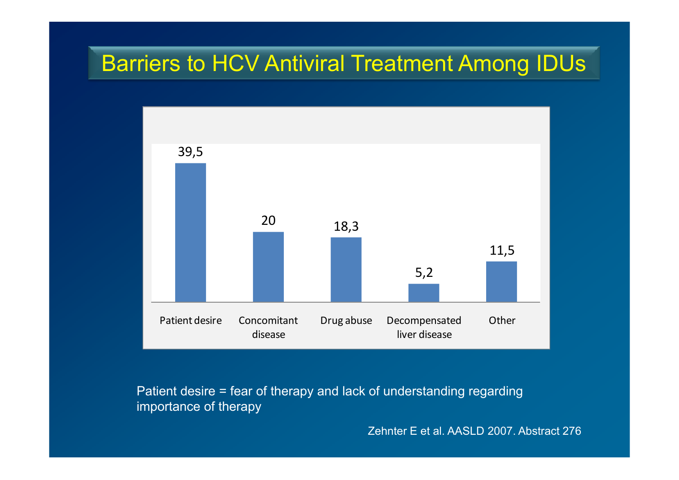# Barriers to HCV Antiviral Treatment Among IDUs



Patient desire = fear of therapy and lack of understanding regarding importance of therapy

Zehnter E et al. AASLD 2007. Abstract 276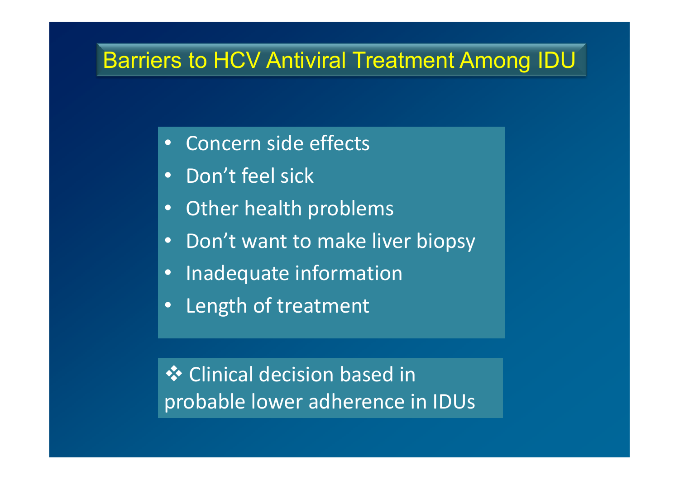# Barriers to HCV Antiviral Treatment Among IDU

- $\bullet$ Concern side effects
- •Don't feel sick
- $\bullet$ Other health problems
- $\bullet$ • Don't want to make liver biopsy
- $\bullet$ Inadequate information
- $\bullet$ Length of treatment

**❖** Clinical decision based in probable lower adherence in IDUs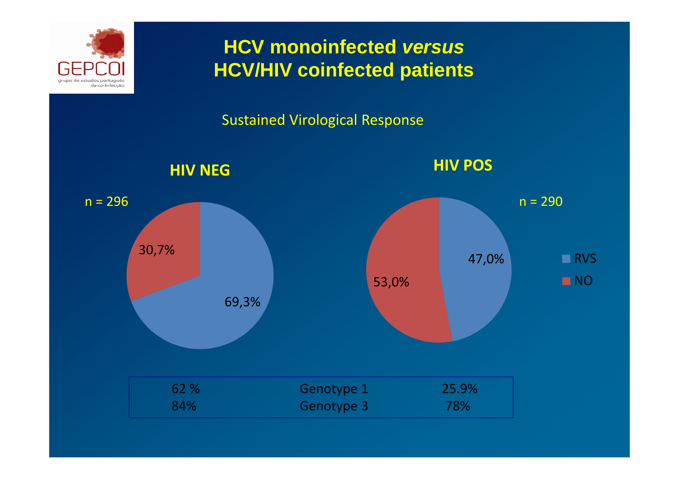

#### Sustained Virological Response

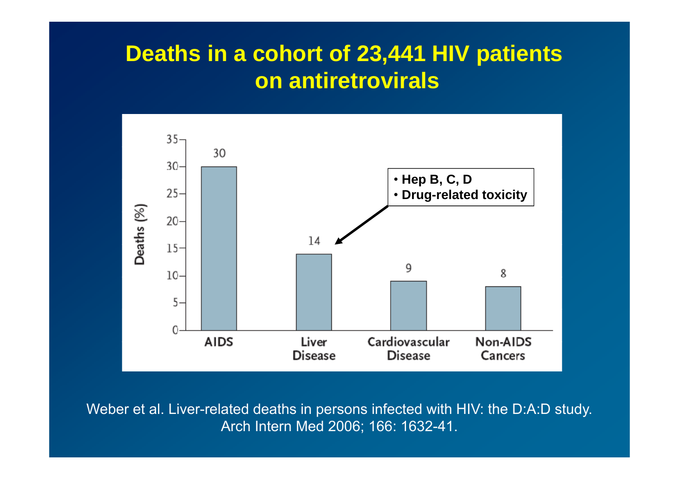# **Deaths in a cohort of 23,441 HIV patients on antiretrovirals**



Weber et al. Liver-related deaths in persons infected with HIV: the D:A:D study. Arch Intern Med 2006; 166: 1632-41.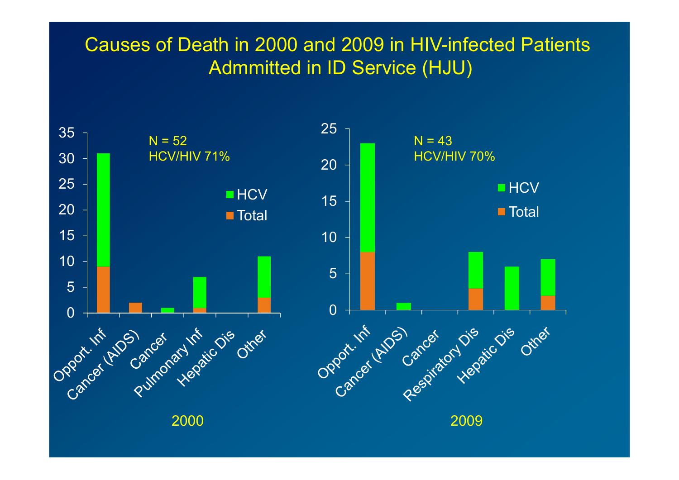#### Causes of Death in 2000 and 2009 in HIV-infected Patients Admmitted in ID Service (HJU)

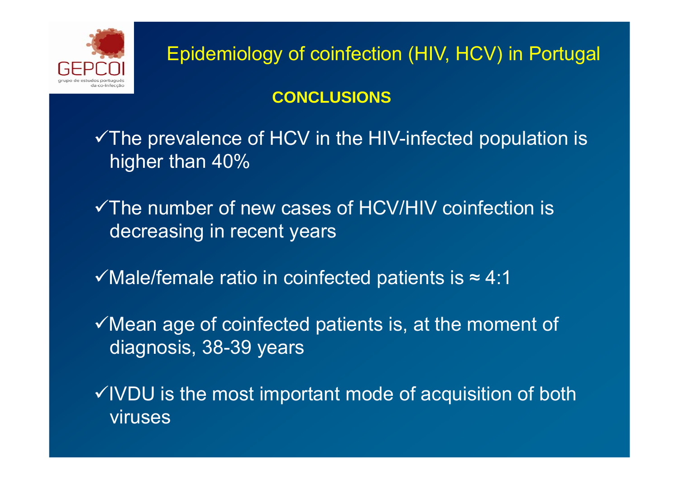

Epidemiology of coinfection (HIV, HCV) in Portugal

#### **CONCLUSIONS**

 $\checkmark$  The prevalence of HCV in the HIV-infected population is higher than 40%

 $\checkmark$  The number of new cases of HCV/HIV coinfection is decreasing in recent years

 $\checkmark$  Male/female ratio in coinfected patients is  $\approx$  4:1

 $\checkmark$  Mean age of coinfected patients is, at the moment of diagnosis, 38-39 years

 $\checkmark$  IVDU is the most important mode of acquisition of both viruses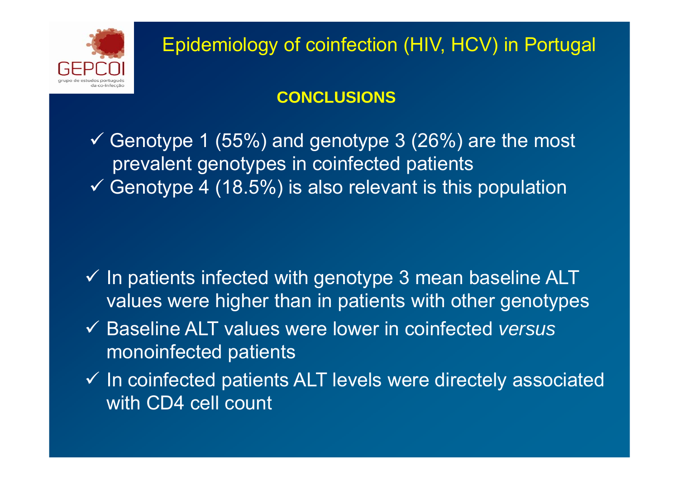

#### **CONCLUSIONS**

 $\checkmark$  Genotype 1 (55%) and genotype 3 (26%) are the most prevalent genotypes in coinfected patients  $\checkmark$  Genotype 4 (18.5%) is also relevant is this population

- $\checkmark$  In patients infected with genotype 3 mean baseline ALT values were higher than in patients with other genotypes
- 9 Baseline ALT values were lower in coinfected *versus* monoinfected patients
- $\checkmark$  In coinfected patients ALT levels were directely associated with CD4 cell count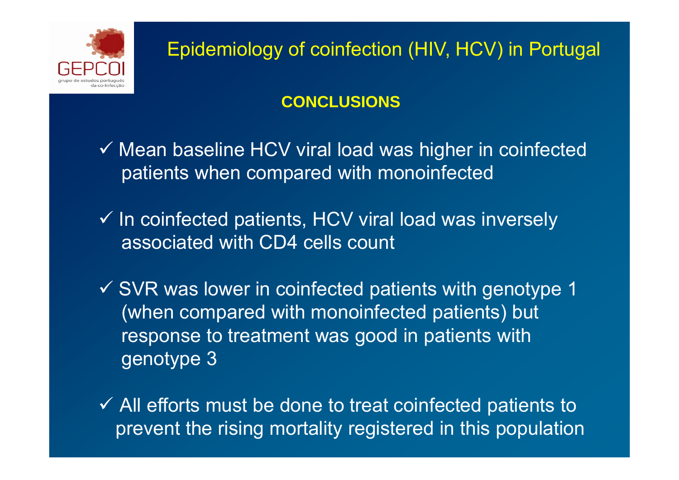

#### **CONCLUSIONS**

- $\checkmark$  Mean baseline HCV viral load was higher in coinfected patients when compared with monoinfected
- $\checkmark$  In coinfected patients, HCV viral load was inversely associated with CD4 cells count
- $\checkmark$  SVR was lower in coinfected patients with genotype 1 (when compared with monoinfected patients) but response to treatment was good in patients with genotype 3
- $\checkmark$  All efforts must be done to treat coinfected patients to prevent the rising mortality registered in this population